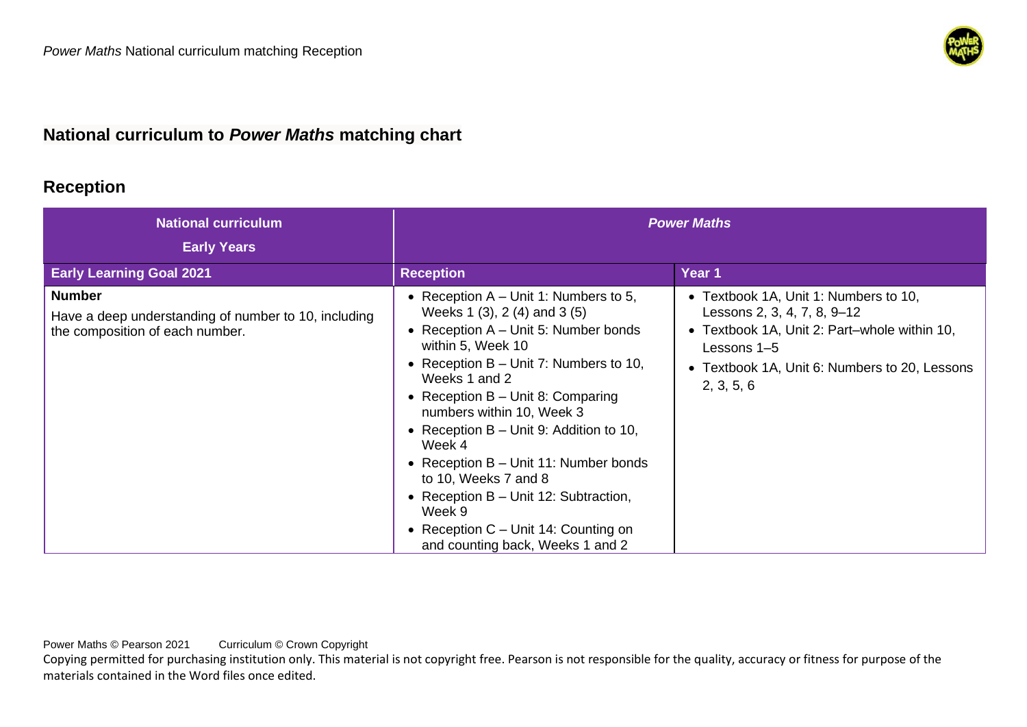

## **National curriculum to** *Power Maths* **matching chart**

## **Reception**

| <b>National curriculum</b><br><b>Early Years</b>                                                         | <b>Power Maths</b>                                                                                                                                                                                                                                                                                                                                                                                                                                                                                                                   |                                                                                                                                                                                                    |
|----------------------------------------------------------------------------------------------------------|--------------------------------------------------------------------------------------------------------------------------------------------------------------------------------------------------------------------------------------------------------------------------------------------------------------------------------------------------------------------------------------------------------------------------------------------------------------------------------------------------------------------------------------|----------------------------------------------------------------------------------------------------------------------------------------------------------------------------------------------------|
| <b>Early Learning Goal 2021</b>                                                                          | <b>Reception</b>                                                                                                                                                                                                                                                                                                                                                                                                                                                                                                                     | Year 1                                                                                                                                                                                             |
| <b>Number</b><br>Have a deep understanding of number to 10, including<br>the composition of each number. | • Reception $A$ – Unit 1: Numbers to 5,<br>Weeks 1 (3), 2 (4) and 3 (5)<br>• Reception $A$ – Unit 5: Number bonds<br>within 5, Week 10<br>• Reception $B -$ Unit 7: Numbers to 10,<br>Weeks 1 and 2<br>• Reception $B -$ Unit 8: Comparing<br>numbers within 10, Week 3<br>• Reception $B -$ Unit 9: Addition to 10,<br>Week 4<br>• Reception $B -$ Unit 11: Number bonds<br>to 10, Weeks 7 and 8<br>• Reception $B -$ Unit 12: Subtraction,<br>Week 9<br>• Reception $C -$ Unit 14: Counting on<br>and counting back, Weeks 1 and 2 | • Textbook 1A, Unit 1: Numbers to 10,<br>Lessons 2, 3, 4, 7, 8, 9-12<br>• Textbook 1A, Unit 2: Part-whole within 10,<br>Lessons 1-5<br>• Textbook 1A, Unit 6: Numbers to 20, Lessons<br>2, 3, 5, 6 |

Power Maths © Pearson 2021 Curriculum © Crown Copyright

Copying permitted for purchasing institution only. This material is not copyright free. Pearson is not responsible for the quality, accuracy or fitness for purpose of the materials contained in the Word files once edited.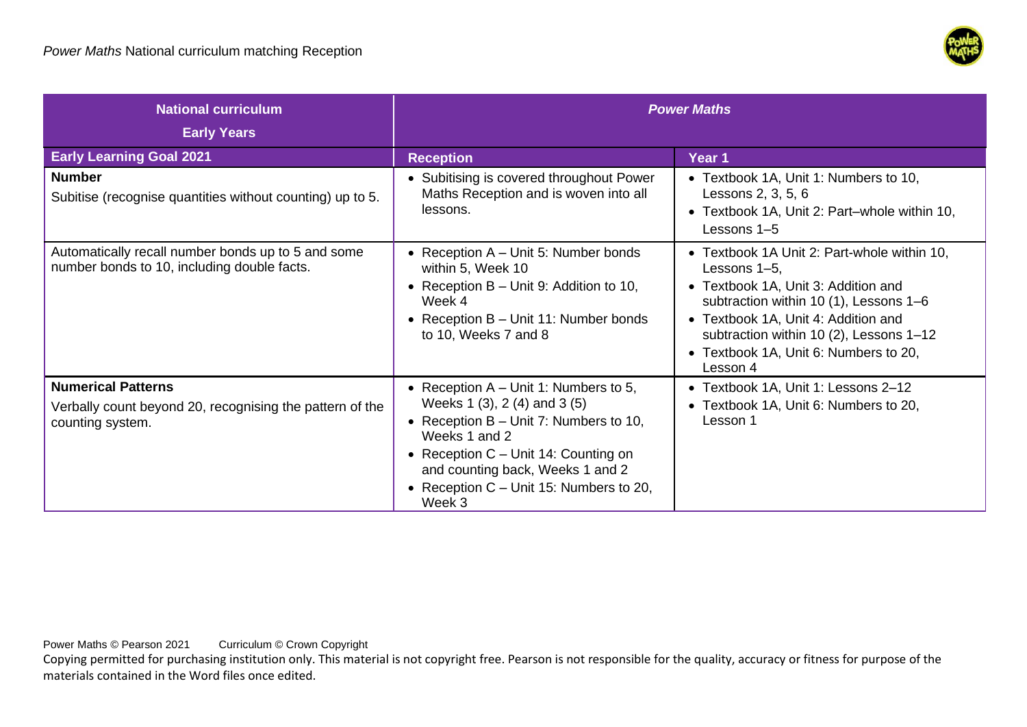

| <b>National curriculum</b>                                                                                | <b>Power Maths</b>                                                                                                                                                                                                                                                        |                                                                                                                                                                                                                                                                                     |
|-----------------------------------------------------------------------------------------------------------|---------------------------------------------------------------------------------------------------------------------------------------------------------------------------------------------------------------------------------------------------------------------------|-------------------------------------------------------------------------------------------------------------------------------------------------------------------------------------------------------------------------------------------------------------------------------------|
| <b>Early Years</b><br><b>Early Learning Goal 2021</b>                                                     |                                                                                                                                                                                                                                                                           | Year 1                                                                                                                                                                                                                                                                              |
| <b>Number</b><br>Subitise (recognise quantities without counting) up to 5.                                | <b>Reception</b><br>• Subitising is covered throughout Power<br>Maths Reception and is woven into all<br>lessons.                                                                                                                                                         | • Textbook 1A, Unit 1: Numbers to 10,<br>Lessons 2, 3, 5, 6<br>• Textbook 1A, Unit 2: Part-whole within 10,<br>Lessons 1-5                                                                                                                                                          |
| Automatically recall number bonds up to 5 and some<br>number bonds to 10, including double facts.         | • Reception $A$ – Unit 5: Number bonds<br>within 5, Week 10<br>• Reception $B -$ Unit 9: Addition to 10,<br>Week 4<br>• Reception $B -$ Unit 11: Number bonds<br>to 10, Weeks 7 and 8                                                                                     | • Textbook 1A Unit 2: Part-whole within 10,<br>Lessons 1-5,<br>• Textbook 1A, Unit 3: Addition and<br>subtraction within 10 (1), Lessons 1-6<br>• Textbook 1A, Unit 4: Addition and<br>subtraction within 10 (2), Lessons 1-12<br>• Textbook 1A, Unit 6: Numbers to 20,<br>Lesson 4 |
| <b>Numerical Patterns</b><br>Verbally count beyond 20, recognising the pattern of the<br>counting system. | • Reception $A$ – Unit 1: Numbers to 5,<br>Weeks 1 (3), 2 (4) and 3 (5)<br>• Reception $B -$ Unit 7: Numbers to 10,<br>Weeks 1 and 2<br>• Reception $C -$ Unit 14: Counting on<br>and counting back, Weeks 1 and 2<br>• Reception $C -$ Unit 15: Numbers to 20,<br>Week 3 | • Textbook 1A, Unit 1: Lessons 2-12<br>• Textbook 1A, Unit 6: Numbers to 20,<br>Lesson 1                                                                                                                                                                                            |

Power Maths © Pearson 2021 Curriculum © Crown Copyright

Copying permitted for purchasing institution only. This material is not copyright free. Pearson is not responsible for the quality, accuracy or fitness for purpose of the materials contained in the Word files once edited.